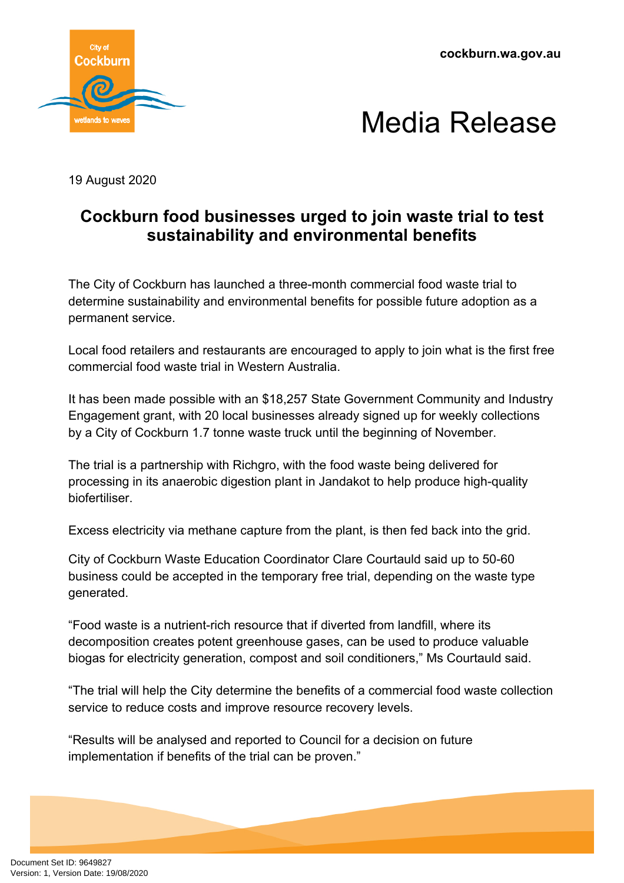**cockburn.wa.gov.au**





19 August 2020

## **Cockburn food businesses urged to join waste trial to test sustainability and environmental benefits**

The City of Cockburn has launched a three-month commercial food waste trial to determine sustainability and environmental benefits for possible future adoption as a permanent service.

Local food retailers and restaurants are encouraged to apply to join what is the first free commercial food waste trial in Western Australia.

It has been made possible with an \$18,257 State Government Community and Industry Engagement grant, with 20 local businesses already signed up for weekly collections by a City of Cockburn 1.7 tonne waste truck until the beginning of November.

The trial is a partnership with Richgro, with the food waste being delivered for processing in its anaerobic digestion plant in Jandakot to help produce high-quality biofertiliser.

Excess electricity via methane capture from the plant, is then fed back into the grid.

City of Cockburn Waste Education Coordinator Clare Courtauld said up to 50-60 business could be accepted in the temporary free trial, depending on the waste type generated.

"Food waste is a nutrient-rich resource that if diverted from landfill, where its decomposition creates potent greenhouse gases, can be used to produce valuable biogas for electricity generation, compost and soil conditioners," Ms Courtauld said.

"The trial will help the City determine the benefits of a commercial food waste collection service to reduce costs and improve resource recovery levels.

"Results will be analysed and reported to Council for a decision on future implementation if benefits of the trial can be proven."